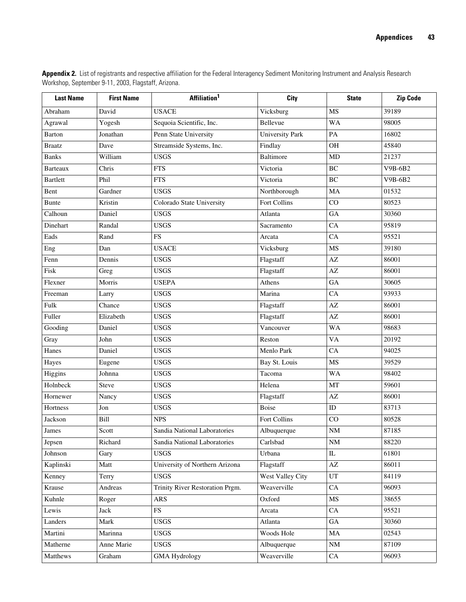| <b>Last Name</b> | <b>First Name</b> | Affiliation <sup>1</sup>        | City                   | <b>State</b>               | <b>Zip Code</b> |
|------------------|-------------------|---------------------------------|------------------------|----------------------------|-----------------|
| Abraham          | David             | <b>USACE</b>                    | Vicksburg              | MS                         | 39189           |
| Agrawal          | Yogesh            | Sequoia Scientific, Inc.        | Bellevue               | <b>WA</b>                  | 98005           |
| Barton           | Jonathan          | Penn State University           | <b>University Park</b> | PA                         | 16802           |
| <b>Braatz</b>    | Dave              | Streamside Systems, Inc.        | Findlay                | <b>OH</b>                  | 45840           |
| <b>Banks</b>     | William           | <b>USGS</b>                     | <b>Baltimore</b>       | MD                         | 21237           |
| <b>Barteaux</b>  | Chris             | <b>FTS</b>                      | Victoria               | $\rm BC$                   | V9B-6B2         |
| <b>Bartlett</b>  | Phil              | <b>FTS</b>                      | Victoria               | <b>BC</b>                  | V9B-6B2         |
| Bent             | Gardner           | <b>USGS</b>                     | Northborough           | MA                         | 01532           |
| <b>Bunte</b>     | Kristin           | Colorado State University       | Fort Collins           | CO                         | 80523           |
| Calhoun          | Daniel            | <b>USGS</b>                     | Atlanta                | GA                         | 30360           |
| Dinehart         | Randal            | <b>USGS</b>                     | Sacramento             | CA                         | 95819           |
| Eads             | Rand              | FS                              | Arcata                 | CA                         | 95521           |
| Eng              | Dan               | <b>USACE</b>                    | Vicksburg              | MS                         | 39180           |
| Fenn             | Dennis            | <b>USGS</b>                     | Flagstaff              | $\mathbf{A}\mathbf{Z}$     | 86001           |
| Fisk             | Greg              | <b>USGS</b>                     | Flagstaff              | AZ                         | 86001           |
| Flexner          | Morris            | <b>USEPA</b>                    | Athens                 | GA                         | 30605           |
| Freeman          | Larry             | <b>USGS</b>                     | Marina                 | CA                         | 93933           |
| Fulk             | Chance            | <b>USGS</b>                     | Flagstaff              | $\mathbf{A}\mathbf{Z}$     | 86001           |
| Fuller           | Elizabeth         | <b>USGS</b>                     | Flagstaff              | AZ                         | 86001           |
| Gooding          | Daniel            | <b>USGS</b>                     | Vancouver              | <b>WA</b>                  | 98683           |
| Gray             | John              | <b>USGS</b>                     | Reston                 | <b>VA</b>                  | 20192           |
| Hanes            | Daniel            | <b>USGS</b>                     | Menlo Park             | CA                         | 94025           |
| Hayes            | Eugene            | <b>USGS</b>                     | Bay St. Louis          | MS                         | 39529           |
| Higgins          | Johnna            | <b>USGS</b>                     | Tacoma                 | <b>WA</b>                  | 98402           |
| Holnbeck         | Steve             | <b>USGS</b>                     | Helena                 | MT                         | 59601           |
| Hornewer         | Nancy             | <b>USGS</b>                     | Flagstaff              | $\mathbf{A}\mathbf{Z}$     | 86001           |
| Hortness         | Jon               | <b>USGS</b>                     | <b>Boise</b>           | $\rm ID$                   | 83713           |
| Jackson          | Bill              | <b>NPS</b>                      | Fort Collins           | CO                         | 80528           |
| $\,$ James       | Scott             | Sandia National Laboratories    | Albuquerque            | $\rm{NM}$                  | 87185           |
| Jepsen           | Richard           | Sandia National Laboratories    | Carlsbad               | NM                         | 88220           |
| Johnson          | Gary              | <b>USGS</b>                     | Urbana                 | $\rm IL$                   | 61801           |
| Kaplinski        | Matt              | University of Northern Arizona  | Flagstaff              | $\mathbf{A}\mathbf{Z}$     | 86011           |
| Kenney           | Terry             | <b>USGS</b>                     | West Valley City       | $\ensuremath{\mathrm{UT}}$ | 84119           |
| Krause           | Andreas           | Trinity River Restoration Prgm. | Weaverville            | CA                         | 96093           |
| Kuhnle           | Roger             | ARS                             | Oxford                 | MS                         | 38655           |
| Lewis            | Jack              | <b>FS</b>                       | Arcata                 | CA                         | 95521           |
| Landers          | Mark              | <b>USGS</b>                     | Atlanta                | ${\rm GA}$                 | 30360           |
| Martini          | Marinna           | <b>USGS</b>                     | Woods Hole             | MA                         | 02543           |
| Matherne         | Anne Marie        | <b>USGS</b>                     | Albuquerque            | $\rm{NM}$                  | 87109           |
| Matthews         | Graham            | <b>GMA Hydrology</b>            | Weaverville            | CA                         | 96093           |

Appendix 2. List of registrants and respective affiliation for the Federal Interagency Sediment Monitoring Instrument and Analysis Research Workshop, September 9-11, 2003, Flagstaff, Arizona.